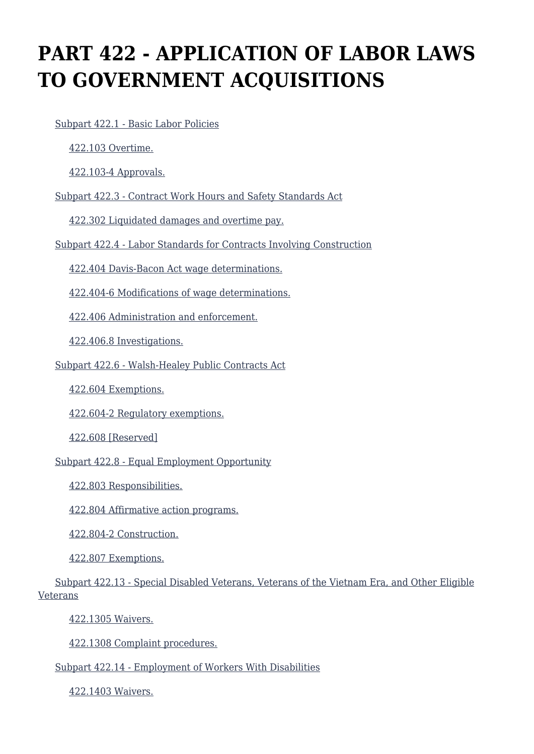# **PART 422 - APPLICATION OF LABOR LAWS TO GOVERNMENT ACQUISITIONS**

[Subpart 422.1 - Basic Labor Policies](https://origin-www.acquisition.gov/%5Brp:link:agar-part-422%5D#Subpart_422_1_T48_40214221)

[422.103 Overtime.](https://origin-www.acquisition.gov/%5Brp:link:agar-part-422%5D#Section_422_103_T48_4021422111)

[422.103-4 Approvals.](https://origin-www.acquisition.gov/%5Brp:link:agar-part-422%5D#Section_422_103_4_T48_4021422112)

[Subpart 422.3 - Contract Work Hours and Safety Standards Act](https://origin-www.acquisition.gov/%5Brp:link:agar-part-422%5D#Subpart_422_3_T48_40214222)

[422.302 Liquidated damages and overtime pay.](https://origin-www.acquisition.gov/%5Brp:link:agar-part-422%5D#Section_422_302_T48_4021422211)

[Subpart 422.4 - Labor Standards for Contracts Involving Construction](https://origin-www.acquisition.gov/%5Brp:link:agar-part-422%5D#Subpart_422_4_T48_40214223)

[422.404 Davis-Bacon Act wage determinations.](https://origin-www.acquisition.gov/%5Brp:link:agar-part-422%5D#Section_422_404_T48_4021422311)

[422.404-6 Modifications of wage determinations.](https://origin-www.acquisition.gov/%5Brp:link:agar-part-422%5D#Section_422_404_6_T48_4021422312)

[422.406 Administration and enforcement.](https://origin-www.acquisition.gov/%5Brp:link:agar-part-422%5D#Section_422_406_T48_4021422313)

[422.406.8 Investigations.](https://origin-www.acquisition.gov/%5Brp:link:agar-part-422%5D#Section_422_406_8_T48_4021422314)

[Subpart 422.6 - Walsh-Healey Public Contracts Act](https://origin-www.acquisition.gov/%5Brp:link:agar-part-422%5D#Subpart_422_6_T48_40214224)

[422.604 Exemptions.](https://origin-www.acquisition.gov/%5Brp:link:agar-part-422%5D#Section_422_604_T48_4021422411)

[422.604-2 Regulatory exemptions.](https://origin-www.acquisition.gov/%5Brp:link:agar-part-422%5D#Section_422_604_2_T48_4021422412)

[422.608 \[Reserved\]](https://origin-www.acquisition.gov/%5Brp:link:agar-part-422%5D#Section_422_608_T48_4021422413)

[Subpart 422.8 - Equal Employment Opportunity](https://origin-www.acquisition.gov/%5Brp:link:agar-part-422%5D#Subpart_422_8_T48_40214225)

[422.803 Responsibilities.](https://origin-www.acquisition.gov/%5Brp:link:agar-part-422%5D#Section_422_803_T48_4021422511)

[422.804 Affirmative action programs.](https://origin-www.acquisition.gov/%5Brp:link:agar-part-422%5D#Section_422_804_T48_4021422512)

[422.804-2 Construction.](https://origin-www.acquisition.gov/%5Brp:link:agar-part-422%5D#Section_422_804_2_T48_4021422513)

[422.807 Exemptions.](https://origin-www.acquisition.gov/%5Brp:link:agar-part-422%5D#Section_422_807_T48_4021422514)

 [Subpart 422.13 - Special Disabled Veterans, Veterans of the Vietnam Era, and Other Eligible](https://origin-www.acquisition.gov/%5Brp:link:agar-part-422%5D#Subpart_422_13_T48_40214226) [Veterans](https://origin-www.acquisition.gov/%5Brp:link:agar-part-422%5D#Subpart_422_13_T48_40214226)

[422.1305 Waivers.](https://origin-www.acquisition.gov/%5Brp:link:agar-part-422%5D#Section_422_1305_T48_4021422611)

[422.1308 Complaint procedures.](https://origin-www.acquisition.gov/%5Brp:link:agar-part-422%5D#Section_422_1308_T48_4021422612)

[Subpart 422.14 - Employment of Workers With Disabilities](https://origin-www.acquisition.gov/%5Brp:link:agar-part-422%5D#Subpart_422_14_T48_40214227)

[422.1403 Waivers.](https://origin-www.acquisition.gov/%5Brp:link:agar-part-422%5D#Section_422_1403_T48_4021422711)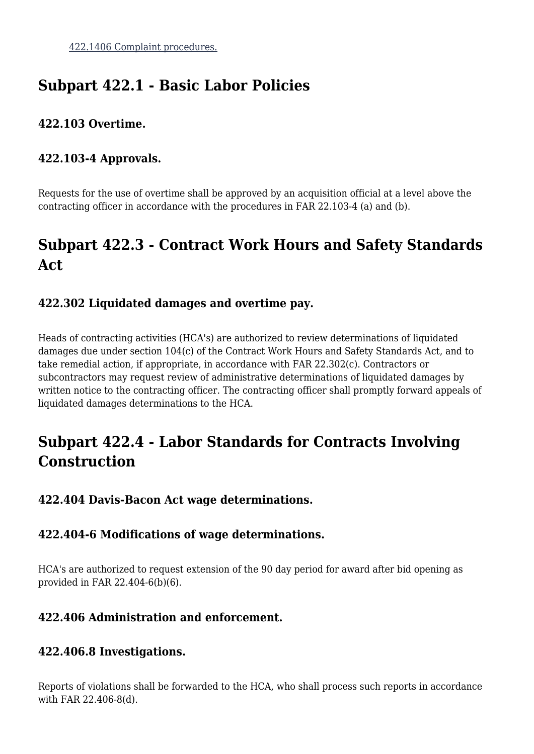# **Subpart 422.1 - Basic Labor Policies**

### **422.103 Overtime.**

# **422.103-4 Approvals.**

Requests for the use of overtime shall be approved by an acquisition official at a level above the contracting officer in accordance with the procedures in FAR 22.103-4 (a) and (b).

# **Subpart 422.3 - Contract Work Hours and Safety Standards Act**

# **422.302 Liquidated damages and overtime pay.**

Heads of contracting activities (HCA's) are authorized to review determinations of liquidated damages due under section 104(c) of the Contract Work Hours and Safety Standards Act, and to take remedial action, if appropriate, in accordance with FAR 22.302(c). Contractors or subcontractors may request review of administrative determinations of liquidated damages by written notice to the contracting officer. The contracting officer shall promptly forward appeals of liquidated damages determinations to the HCA.

# **Subpart 422.4 - Labor Standards for Contracts Involving Construction**

### **422.404 Davis-Bacon Act wage determinations.**

### **422.404-6 Modifications of wage determinations.**

HCA's are authorized to request extension of the 90 day period for award after bid opening as provided in FAR 22.404-6(b)(6).

### **422.406 Administration and enforcement.**

### **422.406.8 Investigations.**

Reports of violations shall be forwarded to the HCA, who shall process such reports in accordance with FAR 22.406-8(d).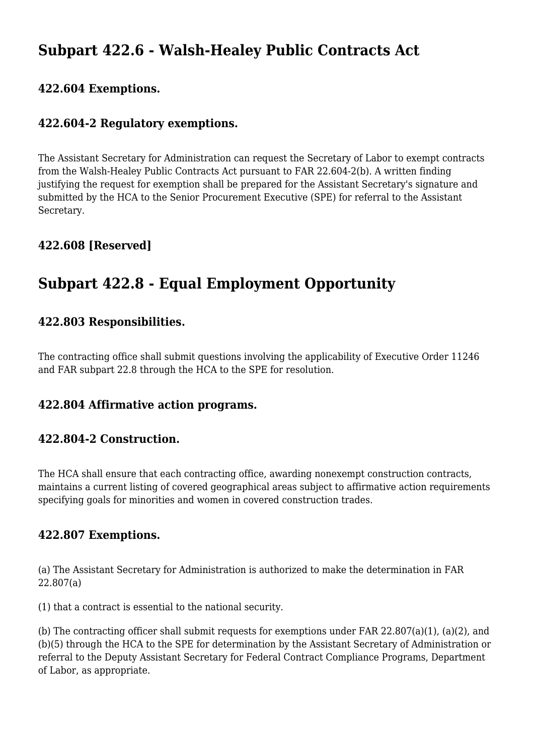# **Subpart 422.6 - Walsh-Healey Public Contracts Act**

#### **422.604 Exemptions.**

#### **422.604-2 Regulatory exemptions.**

The Assistant Secretary for Administration can request the Secretary of Labor to exempt contracts from the Walsh-Healey Public Contracts Act pursuant to FAR 22.604-2(b). A written finding justifying the request for exemption shall be prepared for the Assistant Secretary's signature and submitted by the HCA to the Senior Procurement Executive (SPE) for referral to the Assistant Secretary.

### **422.608 [Reserved]**

# **Subpart 422.8 - Equal Employment Opportunity**

#### **422.803 Responsibilities.**

The contracting office shall submit questions involving the applicability of Executive Order 11246 and FAR subpart 22.8 through the HCA to the SPE for resolution.

#### **422.804 Affirmative action programs.**

#### **422.804-2 Construction.**

The HCA shall ensure that each contracting office, awarding nonexempt construction contracts, maintains a current listing of covered geographical areas subject to affirmative action requirements specifying goals for minorities and women in covered construction trades.

#### **422.807 Exemptions.**

(a) The Assistant Secretary for Administration is authorized to make the determination in FAR 22.807(a)

(1) that a contract is essential to the national security.

(b) The contracting officer shall submit requests for exemptions under FAR 22.807(a)(1), (a)(2), and (b)(5) through the HCA to the SPE for determination by the Assistant Secretary of Administration or referral to the Deputy Assistant Secretary for Federal Contract Compliance Programs, Department of Labor, as appropriate.